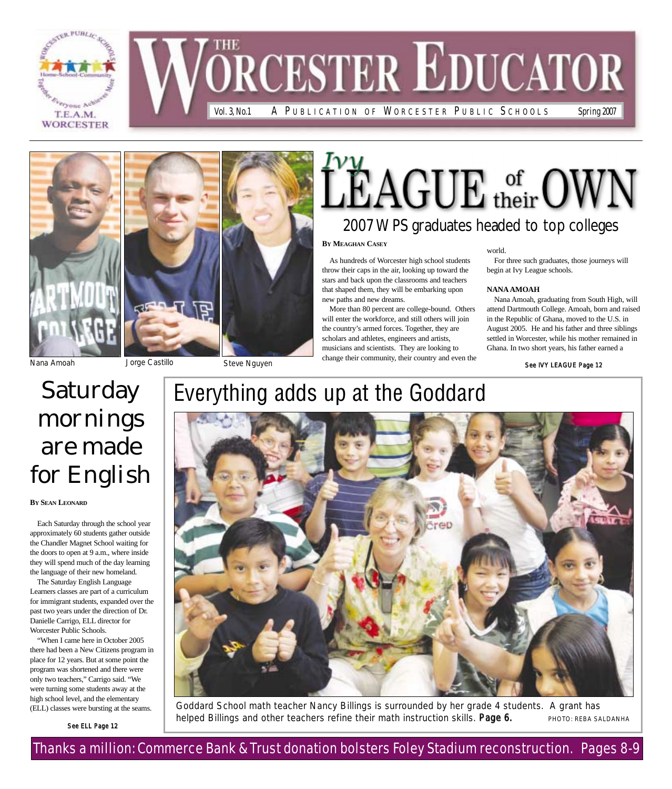







## $\rm LEAGUE$  of  $\rm_{OWN}$ 2007 WPS graduates headed to top colleges

**BY MEAGHAN CASEY**

As hundreds of Worcester high school students throw their caps in the air, looking up toward the stars and back upon the classrooms and teachers that shaped them, they will be embarking upon new paths and new dreams.

More than 80 percent are college-bound. Others will enter the workforce, and still others will join the country's armed forces. Together, they are scholars and athletes, engineers and artists, musicians and scientists. They are looking to change their community, their country and even the

world. For three such graduates, those journeys will begin at Ivy League schools.

#### **NANA AMOAH**

Nana Amoah, graduating from South High, will attend Dartmouth College. Amoah, born and raised in the Republic of Ghana, moved to the U.S. in August 2005. He and his father and three siblings settled in Worcester, while his mother remained in Ghana. In two short years, his father earned a

See IVY LEAGUE Page 12

**BY SEAN LEONARD**

**Saturday** mornings

are made

for English

Each Saturday through the school year approximately 60 students gather outside the Chandler Magnet School waiting for the doors to open at 9 a.m., where inside they will spend much of the day learning the language of their new homeland. The Saturday English Language Learners classes are part of a curriculum for immigrant students, expanded over the past two years under the direction of Dr. Danielle Carrigo, ELL director for Worcester Public Schools.

## Everything adds up at the Goddard



Goddard School math teacher Nancy Billings is surrounded by her grade 4 students. A grant has helped Billings and other teachers refine their math instruction skills. Page 6. PHOTO: REBA SALDANHA

high school level, and the elementary

See ELL Page 12

(ELL) classes were bursting at the seams.

"When I came here in October 2005 there had been a New Citizens program in place for 12 years. But at some point the program was shortened and there were only two teachers," Carrigo said. "We were turning some students away at the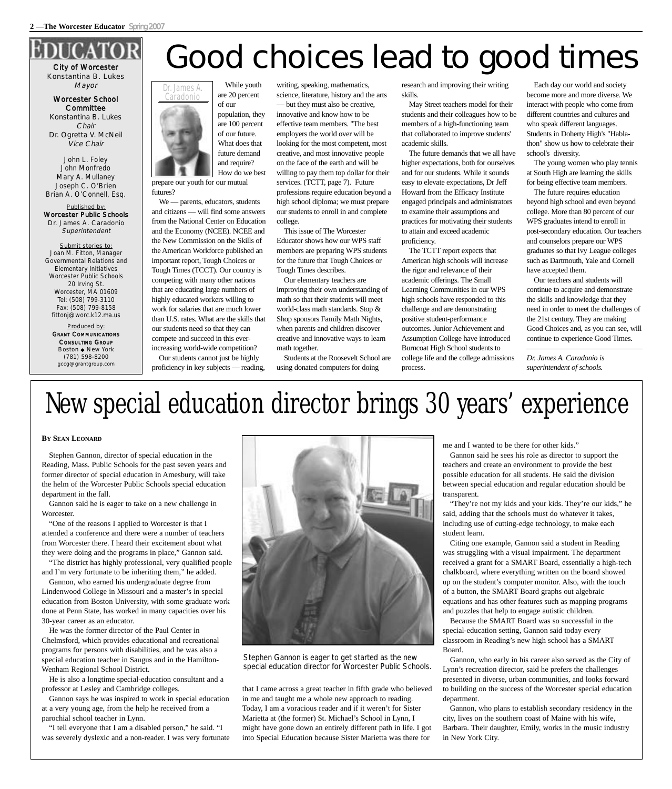## City of Worcester

Konstantina B. Lukes Mayor

Worcester School **Committee** Konstantina B. Lukes Chair Dr. Ogretta V. McNeil Vice Chair

John L. Foley John Monfredo Mary A. Mullaney Joseph C. O'Brien Brian A. O'Connell, Esq.

Published by: Worcester Public Schools Dr. James A. Caradonio Superintendent

Submit stories to: Joan M. Fitton, Manager Governmental Relations and Elementary Initiatives Worcester Public Schools 20 Irving St. Worcester, MA 01609 Tel: (508) 799-3110 Fax: (508) 799-8158 fittonj@worc.k12.ma.us

Produced by: GRANT COMMUNICATIONS CONSULTING GROUP Boston ◆ New York (781) 598-8200 gccg@grantgroup.com



prepare our youth for our mutual futures?

We — parents, educators, students and citizens — will find some answers from the National Center on Education and the Economy (NCEE). NCEE and the New Commission on the Skills of the American Workforce published an important report, Tough Choices or Tough Times (TCCT). Our country is competing with many other nations that are educating large numbers of highly educated workers willing to work for salaries that are much lower than U.S. rates. What are the skills that our students need so that they can compete and succeed in this everincreasing world-wide competition?

Our students cannot just be highly proficiency in key subjects — reading, writing, speaking, mathematics, science, literature, history and the arts — but they must also be creative, innovative and know how to be effective team members. "The best employers the world over will be looking for the most competent, most creative, and most innovative people on the face of the earth and will be willing to pay them top dollar for their services. (TCTT, page 7). Future professions require education beyond a high school diploma; we must prepare our students to enroll in and complete college.

This issue of The Worcester Educator shows how our WPS staff members are preparing WPS students for the future that Tough Choices or Tough Times describes.

Our elementary teachers are improving their own understanding of math so that their students will meet world-class math standards. Stop & Shop sponsors Family Math Nights, when parents and children discover creative and innovative ways to learn math together.

Students at the Roosevelt School are using donated computers for doing

research and improving their writing skills.

May Street teachers model for their students and their colleagues how to be members of a high-functioning team that collaborated to improve students' academic skills.

The future demands that we all have higher expectations, both for ourselves and for our students. While it sounds easy to elevate expectations, Dr Jeff Howard from the Efficacy Institute engaged principals and administrators to examine their assumptions and practices for motivating their students to attain and exceed academic proficiency.

The TCTT report expects that American high schools will increase the rigor and relevance of their academic offerings. The Small Learning Communities in our WPS high schools have responded to this challenge and are demonstrating positive student-performance outcomes. Junior Achievement and Assumption College have introduced Burncoat High School students to college life and the college admissions process.

Each day our world and society become more and more diverse. We interact with people who come from different countries and cultures and who speak different languages. Students in Doherty High's "Hablathon" show us how to celebrate their school's diversity.

The young women who play tennis at South High are learning the skills for being effective team members.

The future requires education beyond high school and even beyond college. More than 80 percent of our WPS graduates intend to enroll in post-secondary education. Our teachers and counselors prepare our WPS graduates so that Ivy League colleges such as Dartmouth, Yale and Cornell have accepted them.

Our teachers and students will continue to acquire and demonstrate the skills and knowledge that they need in order to meet the challenges of the 21st century. They are making Good Choices and, as you can see, will continue to experience Good Times.

*Dr. James A. Caradonio is superintendent of schools.*

## New special education director brings 30 years' experience

#### **BY SEAN LEONARD**

Stephen Gannon, director of special education in the Reading, Mass. Public Schools for the past seven years and former director of special education in Amesbury, will take the helm of the Worcester Public Schools special education department in the fall.

Gannon said he is eager to take on a new challenge in Worcester.

"One of the reasons I applied to Worcester is that I attended a conference and there were a number of teachers from Worcester there. I heard their excitement about what they were doing and the programs in place," Gannon said.

"The district has highly professional, very qualified people and I'm very fortunate to be inheriting them," he added.

Gannon, who earned his undergraduate degree from Lindenwood College in Missouri and a master's in special education from Boston University, with some graduate work done at Penn State, has worked in many capacities over his 30-year career as an educator.

He was the former director of the Paul Center in Chelmsford, which provides educational and recreational programs for persons with disabilities, and he was also a special education teacher in Saugus and in the Hamilton-Wenham Regional School District.

He is also a longtime special-education consultant and a professor at Lesley and Cambridge colleges.

Gannon says he was inspired to work in special education at a very young age, from the help he received from a parochial school teacher in Lynn.

"I tell everyone that I am a disabled person," he said. "I was severely dyslexic and a non-reader. I was very fortunate



Stephen Gannon is eager to get started as the new special education director for Worcester Public Schools.

that I came across a great teacher in fifth grade who believed in me and taught me a whole new approach to reading. Today, I am a voracious reader and if it weren't for Sister Marietta at (the former) St. Michael's School in Lynn, I might have gone down an entirely different path in life. I got into Special Education because Sister Marietta was there for

me and I wanted to be there for other kids."

Gannon said he sees his role as director to support the teachers and create an environment to provide the best possible education for all students. He said the division between special education and regular education should be transparent.

"They're not my kids and your kids. They're our kids," he said, adding that the schools must do whatever it takes, including use of cutting-edge technology, to make each student learn.

Citing one example, Gannon said a student in Reading was struggling with a visual impairment. The department received a grant for a SMART Board, essentially a high-tech chalkboard, where everything written on the board showed up on the student's computer monitor. Also, with the touch of a button, the SMART Board graphs out algebraic equations and has other features such as mapping programs and puzzles that help to engage autistic children.

Because the SMART Board was so successful in the special-education setting, Gannon said today every classroom in Reading's new high school has a SMART Board.

Gannon, who early in his career also served as the City of Lynn's recreation director, said he prefers the challenges presented in diverse, urban communities, and looks forward to building on the success of the Worcester special education department.

Gannon, who plans to establish secondary residency in the city, lives on the southern coast of Maine with his wife, Barbara. Their daughter, Emily, works in the music industry in New York City.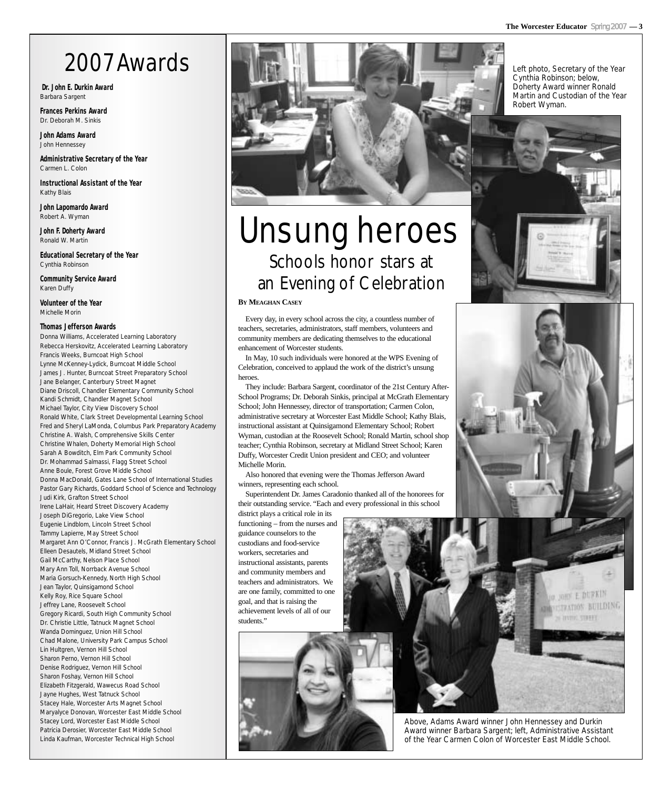## 2007 Awards

**Dr. John E. Durkin Award** Barbara Sargent

**Frances Perkins Award** Dr. Deborah M. Sinkis

**John Adams Award** John Hennessey

**Administrative Secretary of the Year** Carmen L. Colon

**Instructional Assistant of the Year** Kathy Blais

**John Lapomardo Award** Robert A. Wyman

**John F. Doherty Award** Ronald W. Martin

**Educational Secretary of the Year** Cynthia Robinson

**Community Service Award** Karen Duffy

**Volunteer of the Year** Michelle Morin

#### **Thomas Jefferson Awards**

Donna Williams, Accelerated Learning Laboratory Rebecca Herskovitz, Accelerated Learning Laboratory Francis Weeks, Burncoat High School Lynne McKenney-Lydick, Burncoat Middle School James J. Hunter, Burncoat Street Preparatory School Jane Belanger, Canterbury Street Magnet Diane Driscoll, Chandler Elementary Community School Kandi Schmidt, Chandler Magnet School Michael Taylor, City View Discovery School Ronald White, Clark Street Developmental Learning School Fred and Sheryl LaMonda, Columbus Park Preparatory Academy Christine A. Walsh, Comprehensive Skills Center Christine Whalen, Doherty Memorial High School Sarah A Bowditch, Elm Park Community School Dr. Mohammad Salmassi, Flagg Street School Anne Boule, Forest Grove Middle School Donna MacDonald, Gates Lane School of International Studies Pastor Gary Richards, Goddard School of Science and Technology Judi Kirk, Grafton Street School Irene LaHair, Heard Street Discovery Academy Joseph DiGregorio, Lake View School Eugenie Lindblom, Lincoln Street School Tammy Lapierre, May Street School Margaret Ann O'Connor, Francis J. McGrath Elementary School Elleen Desautels, Midland Street School Gail McCarthy, Nelson Place School Mary Ann Toll, Norrback Avenue School Maria Gorsuch-Kennedy, North High School Jean Taylor, Quinsigamond School Kelly Roy, Rice Square School Jeffrey Lane, Roosevelt School Gregory Ricardi, South High Community School Dr. Christie Little, Tatnuck Magnet School Wanda Dominguez, Union Hill School Chad Malone, University Park Campus School Lin Hultgren, Vernon Hill School Sharon Perno, Vernon Hill School Denise Rodriguez, Vernon Hill School Sharon Foshay, Vernon Hill School Elizabeth Fitzgerald, Wawecus Road School Jayne Hughes, West Tatnuck School Stacey Hale, Worcester Arts Magnet School Maryalyce Donovan, Worcester East Middle School Stacey Lord, Worcester East Middle School Patricia Derosier, Worcester East Middle School Linda Kaufman, Worcester Technical High School



## Unsung heroes Schools honor stars at an Evening of Celebration

#### **BY MEAGHAN CASEY**

Every day, in every school across the city, a countless number of teachers, secretaries, administrators, staff members, volunteers and community members are dedicating themselves to the educational enhancement of Worcester students.

In May, 10 such individuals were honored at the WPS Evening of Celebration, conceived to applaud the work of the district's unsung heroes.

They include: Barbara Sargent, coordinator of the 21st Century After-School Programs; Dr. Deborah Sinkis, principal at McGrath Elementary School; John Hennessey, director of transportation; Carmen Colon, administrative secretary at Worcester East Middle School; Kathy Blais, instructional assistant at Quinsigamond Elementary School; Robert Wyman, custodian at the Roosevelt School; Ronald Martin, school shop teacher; Cynthia Robinson, secretary at Midland Street School; Karen Duffy, Worcester Credit Union president and CEO; and volunteer Michelle Morin.

Also honored that evening were the Thomas Jefferson Award winners, representing each school.

Superintendent Dr. James Caradonio thanked all of the honorees for their outstanding service. "Each and every professional in this school

district plays a critical role in its functioning – from the nurses and guidance counselors to the custodians and food-service workers, secretaries and instructional assistants, parents and community members and teachers and administrators. We are one family, committed to one goal, and that is raising the achievement levels of all of our students."









Above, Adams Award winner John Hennessey and Durkin Award winner Barbara Sargent; left, Administrative Assistant of the Year Carmen Colon of Worcester East Middle School.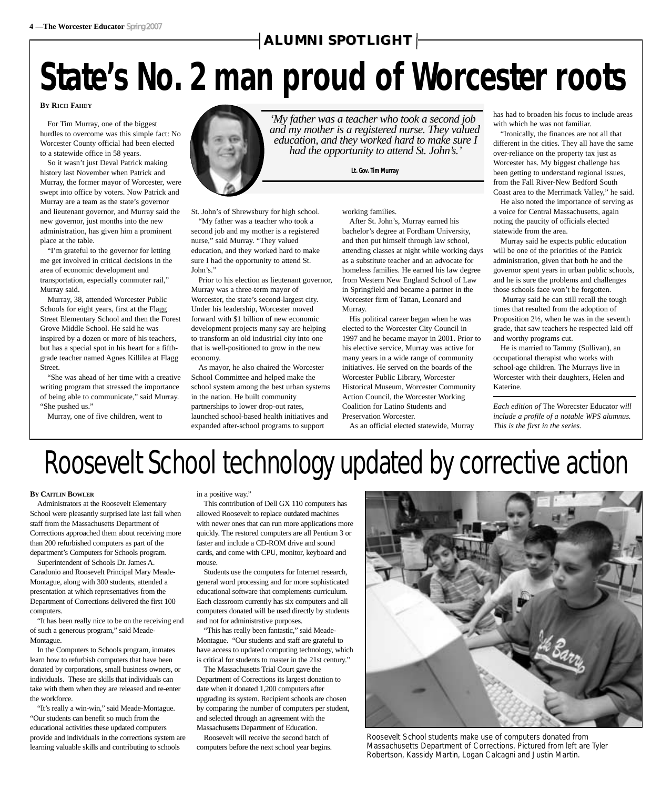#### $\dashv$ ALUMNI SPOTLIGHT $\dashv$

## **State's No. 2 man proud of Worcester roots**

#### **BY RICH FAHEY**

For Tim Murray, one of the biggest hurdles to overcome was this simple fact: No Worcester County official had been elected to a statewide office in 58 years.

So it wasn't just Deval Patrick making history last November when Patrick and Murray, the former mayor of Worcester, were swept into office by voters. Now Patrick and Murray are a team as the state's governor and lieutenant governor, and Murray said the new governor, just months into the new administration, has given him a prominent place at the table.

"I'm grateful to the governor for letting me get involved in critical decisions in the area of economic development and transportation, especially commuter rail," Murray said.

Murray, 38, attended Worcester Public Schools for eight years, first at the Flagg Street Elementary School and then the Forest Grove Middle School. He said he was inspired by a dozen or more of his teachers, but has a special spot in his heart for a fifthgrade teacher named Agnes Killilea at Flagg Street.

"She was ahead of her time with a creative writing program that stressed the importance of being able to communicate," said Murray. "She pushed us."

Murray, one of five children, went to



St. John's of Shrewsbury for high school. "My father was a teacher who took a second job and my mother is a registered

nurse," said Murray. "They valued education, and they worked hard to make sure I had the opportunity to attend St. John's."

Prior to his election as lieutenant governor, Murray was a three-term mayor of Worcester, the state's second-largest city. Under his leadership, Worcester moved forward with \$1 billion of new economic development projects many say are helping to transform an old industrial city into one that is well-positioned to grow in the new economy.

As mayor, he also chaired the Worcester School Committee and helped make the school system among the best urban systems in the nation. He built community partnerships to lower drop-out rates, launched school-based health initiatives and expanded after-school programs to support

working families.

After St. John's, Murray earned his bachelor's degree at Fordham University, and then put himself through law school, attending classes at night while working days as a substitute teacher and an advocate for homeless families. He earned his law degree from Western New England School of Law in Springfield and became a partner in the Worcester firm of Tattan, Leonard and Murray.

His political career began when he was elected to the Worcester City Council in 1997 and he became mayor in 2001. Prior to his elective service, Murray was active for many years in a wide range of community initiatives. He served on the boards of the Worcester Public Library, Worcester Historical Museum, Worcester Community Action Council, the Worcester Working Coalition for Latino Students and Preservation Worcester.

As an official elected statewide, Murray

has had to broaden his focus to include areas with which he was not familiar.

"Ironically, the finances are not all that different in the cities. They all have the same over-reliance on the property tax just as Worcester has. My biggest challenge has been getting to understand regional issues, from the Fall River-New Bedford South Coast area to the Merrimack Valley," he said.

He also noted the importance of serving as a voice for Central Massachusetts, again noting the paucity of officials elected statewide from the area.

Murray said he expects public education will be one of the priorities of the Patrick administration, given that both he and the governor spent years in urban public schools, and he is sure the problems and challenges those schools face won't be forgotten.

Murray said he can still recall the tough times that resulted from the adoption of Proposition 2½, when he was in the seventh grade, that saw teachers he respected laid off and worthy programs cut.

He is married to Tammy (Sullivan), an occupational therapist who works with school-age children. The Murrays live in Worcester with their daughters, Helen and Katerine.

*Each edition of* The Worecster Educator *will include a profile of a notable WPS alumnus. This is the first in the series.* 

## Roosevelt School technology updated by corrective action

#### **BY CAITLIN BOWLER**

Administrators at the Roosevelt Elementary School were pleasantly surprised late last fall when staff from the Massachusetts Department of Corrections approached them about receiving more than 200 refurbished computers as part of the department's Computers for Schools program.

Superintendent of Schools Dr. James A. Caradonio and Roosevelt Principal Mary Meade-Montague, along with 300 students, attended a presentation at which representatives from the Department of Corrections delivered the first 100 computers.

"It has been really nice to be on the receiving end of such a generous program," said Meade-Montague.

In the Computers to Schools program, inmates learn how to refurbish computers that have been donated by corporations, small business owners, or individuals. These are skills that individuals can take with them when they are released and re-enter the workforce.

"It's really a win-win," said Meade-Montague. "Our students can benefit so much from the educational activities these updated computers provide and individuals in the corrections system are learning valuable skills and contributing to schools

in a positive way."

This contribution of Dell GX 110 computers has allowed Roosevelt to replace outdated machines with newer ones that can run more applications more quickly. The restored computers are all Pentium 3 or faster and include a CD-ROM drive and sound cards, and come with CPU, monitor, keyboard and mouse.

Students use the computers for Internet research, general word processing and for more sophisticated educational software that complements curriculum. Each classroom currently has six computers and all computers donated will be used directly by students and not for administrative purposes.

"This has really been fantastic," said Meade-Montague. "Our students and staff are grateful to have access to updated computing technology, which is critical for students to master in the 21st century."

The Massachusetts Trial Court gave the Department of Corrections its largest donation to date when it donated 1,200 computers after upgrading its system. Recipient schools are chosen by comparing the number of computers per student, and selected through an agreement with the Massachusetts Department of Education.

Roosevelt will receive the second batch of computers before the next school year begins.



Roosevelt School students make use of computers donated from Massachusetts Department of Corrections. Pictured from left are Tyler Robertson, Kassidy Martin, Logan Calcagni and Justin Martin.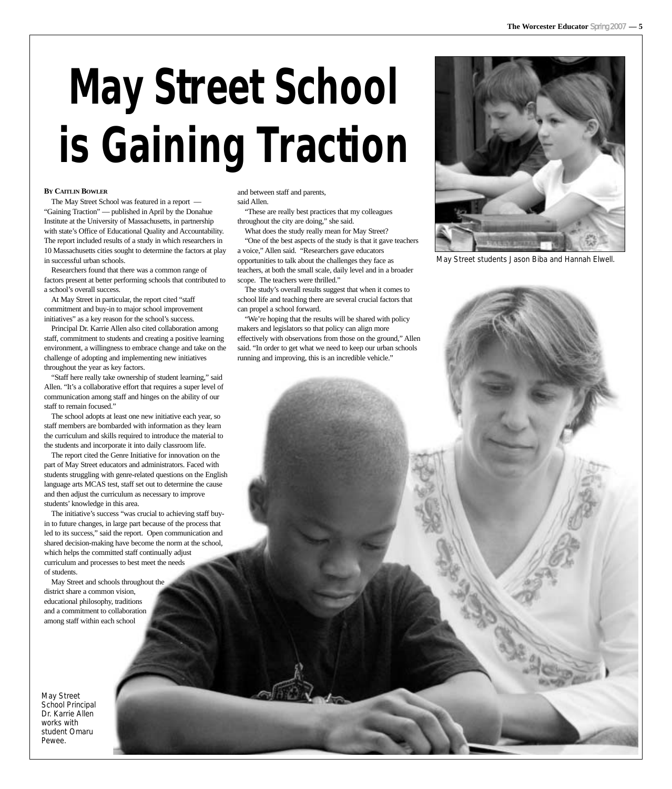# **May Street School is Gaining Traction**

#### **BY CAITLIN BOWLER**

The May Street School was featured in a report — "Gaining Traction" — published in April by the Donahue Institute at the University of Massachusetts, in partnership with state's Office of Educational Quality and Accountability. The report included results of a study in which researchers in 10 Massachusetts cities sought to determine the factors at play in successful urban schools.

Researchers found that there was a common range of factors present at better performing schools that contributed to a school's overall success.

At May Street in particular, the report cited "staff commitment and buy-in to major school improvement initiatives" as a key reason for the school's success.

Principal Dr. Karrie Allen also cited collaboration among staff, commitment to students and creating a positive learning environment, a willingness to embrace change and take on the challenge of adopting and implementing new initiatives throughout the year as key factors.

"Staff here really take ownership of student learning," said Allen. "It's a collaborative effort that requires a super level of communication among staff and hinges on the ability of our staff to remain focused."

The school adopts at least one new initiative each year, so staff members are bombarded with information as they learn the curriculum and skills required to introduce the material to the students and incorporate it into daily classroom life.

The report cited the Genre Initiative for innovation on the part of May Street educators and administrators. Faced with students struggling with genre-related questions on the English language arts MCAS test, staff set out to determine the cause and then adjust the curriculum as necessary to improve students' knowledge in this area.

The initiative's success "was crucial to achieving staff buyin to future changes, in large part because of the process that led to its success," said the report. Open communication and shared decision-making have become the norm at the school, which helps the committed staff continually adjust curriculum and processes to best meet the needs of students.

May Street and schools throughout the district share a common vision, educational philosophy, traditions and a commitment to collaboration among staff within each school

May Street School Principal Dr. Karrie Allen works with student Omaru Pewee.

and between staff and parents, said Allen.

"These are really best practices that my colleagues throughout the city are doing," she said.

What does the study really mean for May Street? "One of the best aspects of the study is that it gave teachers

a voice," Allen said. "Researchers gave educators opportunities to talk about the challenges they face as teachers, at both the small scale, daily level and in a broader scope. The teachers were thrilled."

The study's overall results suggest that when it comes to school life and teaching there are several crucial factors that can propel a school forward.

"We're hoping that the results will be shared with policy makers and legislators so that policy can align more effectively with observations from those on the ground," Allen said. "In order to get what we need to keep our urban schools running and improving, this is an incredible vehicle."



May Street students Jason Biba and Hannah Elwell.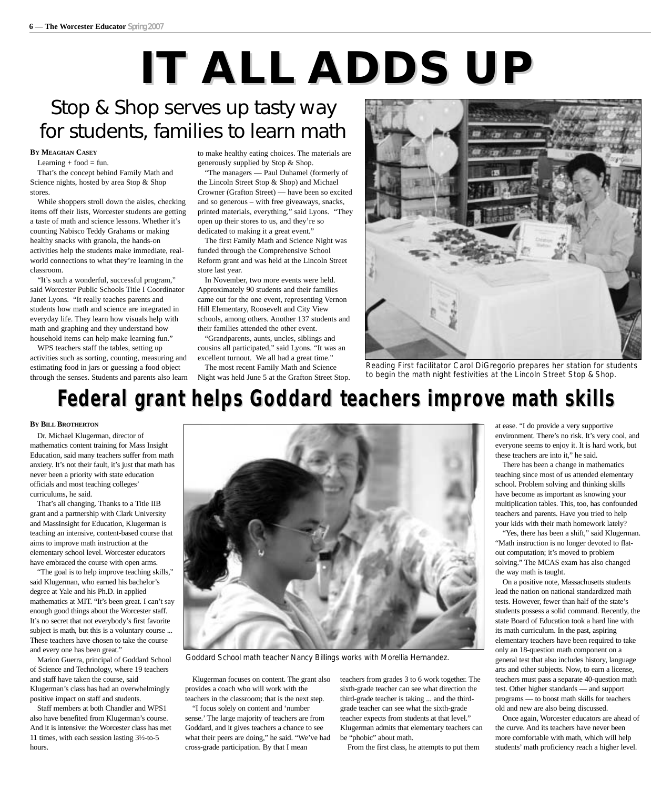# **IT ALL ADDS UP**

## Stop & Shop serves up tasty way for students, families to learn math

#### **BY MEAGHAN CASEY**

Learning  $+$  food  $=$  fun.

That's the concept behind Family Math and Science nights, hosted by area Stop & Shop stores.

While shoppers stroll down the aisles, checking items off their lists, Worcester students are getting a taste of math and science lessons. Whether it's counting Nabisco Teddy Grahams or making healthy snacks with granola, the hands-on activities help the students make immediate, realworld connections to what they're learning in the classroom.

"It's such a wonderful, successful program," said Worcester Public Schools Title I Coordinator Janet Lyons. "It really teaches parents and students how math and science are integrated in everyday life. They learn how visuals help with math and graphing and they understand how household items can help make learning fun."

WPS teachers staff the tables, setting up activities such as sorting, counting, measuring and estimating food in jars or guessing a food object through the senses. Students and parents also learn to make healthy eating choices. The materials are generously supplied by Stop & Shop.

"The managers — Paul Duhamel (formerly of the Lincoln Street Stop & Shop) and Michael Crowner (Grafton Street) — have been so excited and so generous – with free giveaways, snacks, printed materials, everything," said Lyons. "They open up their stores to us, and they're so dedicated to making it a great event."

The first Family Math and Science Night was funded through the Comprehensive School Reform grant and was held at the Lincoln Street store last year.

In November, two more events were held. Approximately 90 students and their families came out for the one event, representing Vernon Hill Elementary, Roosevelt and City View schools, among others. Another 137 students and their families attended the other event.

"Grandparents, aunts, uncles, siblings and cousins all participated," said Lyons. "It was an excellent turnout. We all had a great time."

The most recent Family Math and Science Night was held June 5 at the Grafton Street Stop.



Reading First facilitator Carol DiGregorio prepares her station for students to begin the math night festivities at the Lincoln Street Stop & Shop.

## **Federal grant helps Goddard teachers improve math skills**

#### **BY BILL BROTHERTON**

Dr. Michael Klugerman, director of mathematics content training for Mass Insight Education, said many teachers suffer from math anxiety. It's not their fault, it's just that math has never been a priority with state education officials and most teaching colleges' curriculums, he said.

That's all changing. Thanks to a Title IIB grant and a partnership with Clark University and MassInsight for Education, Klugerman is teaching an intensive, content-based course that aims to improve math instruction at the elementary school level. Worcester educators have embraced the course with open arms.

"The goal is to help improve teaching skills," said Klugerman, who earned his bachelor's degree at Yale and his Ph.D. in applied mathematics at MIT. "It's been great. I can't say enough good things about the Worcester staff. It's no secret that not everybody's first favorite subject is math, but this is a voluntary course ... These teachers have chosen to take the course and every one has been great."

Marion Guerra, principal of Goddard School of Science and Technology, where 19 teachers and staff have taken the course, said Klugerman's class has had an overwhelmingly positive impact on staff and students.

Staff members at both Chandler and WPS1 also have benefited from Klugerman's course. And it is intensive: the Worcester class has met 11 times, with each session lasting 3½-to-5 hours.



Goddard School math teacher Nancy Billings works with Morellia Hernandez.

Klugerman focuses on content. The grant also provides a coach who will work with the teachers in the classroom; that is the next step. "I focus solely on content and 'number

sense.' The large majority of teachers are from Goddard, and it gives teachers a chance to see what their peers are doing," he said. "We've had cross-grade participation. By that I mean

teachers from grades 3 to 6 work together. The sixth-grade teacher can see what direction the third-grade teacher is taking ... and the thirdgrade teacher can see what the sixth-grade teacher expects from students at that level." Klugerman admits that elementary teachers can be "phobic" about math.

From the first class, he attempts to put them

at ease. "I do provide a very supportive environment. There's no risk. It's very cool, and everyone seems to enjoy it. It is hard work, but these teachers are into it," he said.

There has been a change in mathematics teaching since most of us attended elementary school. Problem solving and thinking skills have become as important as knowing your multiplication tables. This, too, has confounded teachers and parents. Have you tried to help your kids with their math homework lately?

"Yes, there has been a shift," said Klugerman. "Math instruction is no longer devoted to flatout computation; it's moved to problem solving." The MCAS exam has also changed the way math is taught.

On a positive note, Massachusetts students lead the nation on national standardized math tests. However, fewer than half of the state's students possess a solid command. Recently, the state Board of Education took a hard line with its math curriculum. In the past, aspiring elementary teachers have been required to take only an 18-question math component on a general test that also includes history, language arts and other subjects. Now, to earn a license, teachers must pass a separate 40-question math test. Other higher standards — and support programs — to boost math skills for teachers old and new are also being discussed.

Once again, Worcester educators are ahead of the curve. And its teachers have never been more comfortable with math, which will help students' math proficiency reach a higher level.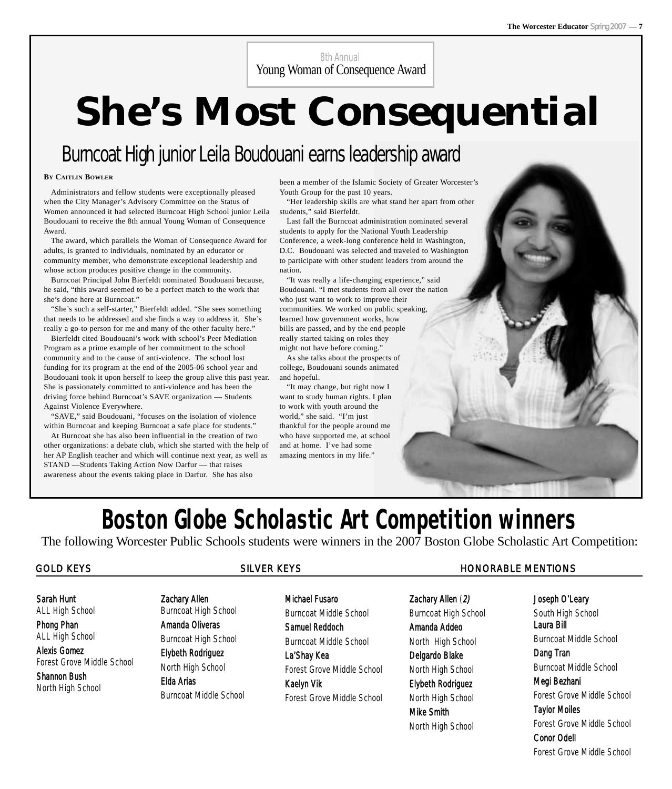8th Annual Young Woman of Consequence Award

# **She's Most Consequential**

## Burncoat High junior Leila Boudouani earns leadership award

#### **BY CAITLIN BOWLER**

Administrators and fellow students were exceptionally pleased when the City Manager's Advisory Committee on the Status of Women announced it had selected Burncoat High School junior Leila Boudouani to receive the 8th annual Young Woman of Consequence Award.

The award, which parallels the Woman of Consequence Award for adults, is granted to individuals, nominated by an educator or community member, who demonstrate exceptional leadership and whose action produces positive change in the community.

Burncoat Principal John Bierfeldt nominated Boudouani because, he said, "this award seemed to be a perfect match to the work that she's done here at Burncoat."

"She's such a self-starter," Bierfeldt added. "She sees something that needs to be addressed and she finds a way to address it. She's really a go-to person for me and many of the other faculty here."

Bierfeldt cited Boudouani's work with school's Peer Mediation Program as a prime example of her commitment to the school community and to the cause of anti-violence. The school lost funding for its program at the end of the 2005-06 school year and Boudouani took it upon herself to keep the group alive this past year. She is passionately committed to anti-violence and has been the driving force behind Burncoat's SAVE organization — Students Against Violence Everywhere.

"SAVE," said Boudouani, "focuses on the isolation of violence within Burncoat and keeping Burncoat a safe place for students."

At Burncoat she has also been influential in the creation of two other organizations: a debate club, which she started with the help of her AP English teacher and which will continue next year, as well as STAND —Students Taking Action Now Darfur — that raises awareness about the events taking place in Darfur. She has also

been a member of the Islamic Society of Greater Worcester's Youth Group for the past 10 years.

"Her leadership skills are what stand her apart from other students," said Bierfeldt.

Last fall the Burncoat administration nominated several students to apply for the National Youth Leadership Conference, a week-long conference held in Washington, D.C. Boudouani was selected and traveled to Washington to participate with other student leaders from around the nation.

"It was really a life-changing experience," said Boudouani. "I met students from all over the nation who just want to work to improve their communities. We worked on public speaking, learned how government works, how bills are passed, and by the end people really started taking on roles they might not have before coming."

As she talks about the prospects of college, Boudouani sounds animated and hopeful.

"It may change, but right now I want to study human rights. I plan to work with youth around the world," she said. "I'm just thankful for the people around me who have supported me, at school and at home. I've had some amazing mentors in my life."

Joseph O'Leary

South High School Laura Bill Burncoat Middle School Dang Tran Burncoat Middle School Megi Bezhani Forest Grove Middle School Taylor Moiles Forest Grove Middle School Conor Odell

Forest Grove Middle School

### **Boston Globe Scholastic Art Competition winners**  The following Worcester Public Schools students were winners in the 2007 Boston Globe Scholastic Art Competition:

#### GOLD KEYS GOLD KEYS SILVER KEYS THE SILVER SILVER SILVER SILVER SILVER SILVER SILVER SILVER SILVER SILVER SILVER SILVER SILVER SILVER SILVER SILVER SILVER SILVER SILVER SILVER SILVER SILVER SILVER SILVER SILVER SILVER SILV

#### Sarah Hunt

ALL High School Phong Phan

ALL High School

Alexis Gomez Forest Grove Middle School

Shannon Bush North High School

#### Zachary Allen

Burncoat High School Amanda Oliveras

Burncoat High School Elybeth Rodriguez

North High School Elda Arias Burncoat Middle School

#### Michael Fusaro

Burncoat Middle School Samuel Reddoch

Burncoat Middle School

La'Shay Kea Forest Grove Middle School Kaelyn Vik Forest Grove Middle School

Zachary Allen (2) Burncoat High School Amanda Addeo North High School Delgardo Blake North High School Elybeth Rodriguez North High School Mike Smith

North High School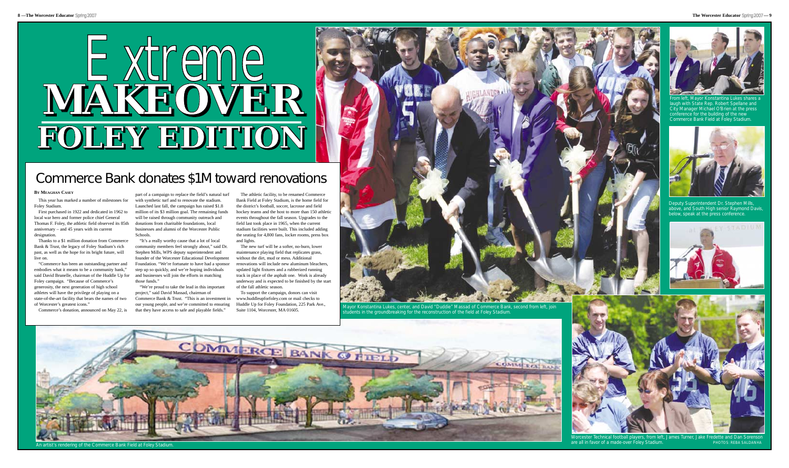are all in favor of a made-over Foley Stadium. **PHOTOS: REBA SALDANHA** 

## Commerce Bank donates \$1M toward renovations

#### **BY MEAGHAN CASEY**

This year has marked a number of milestones for Foley Stadium.

First purchased in 1922 and dedicated in 1962 to local war hero and former police chief General Thomas F. Foley, the athletic field observed its 85th anniversary – and 45 years with its current designation.

Thanks to a \$1 million donation from Commerce Bank & Trust, the legacy of Foley Stadium's rich past, as well as the hope for its bright future, will live on.

"Commerce has been an outstanding partner and embodies what it means to be a community bank," said David Brunelle, chairman of the Huddle Up for Foley campaign. "Because of Commerce's generosity, the next generation of high school athletes will have the privilege of playing on a

part of a campaign to replace the field's natural turf with synthetic turf and to renovate the stadium. Launched last fall, the campaign has raised \$1.8 million of its \$3 million goal. The remaining funds will be raised through community outreach and donations from charitable foundations, local businesses and alumni of the Worcester Public Schools.

"It's a really worthy cause that a lot of local community members feel strongly about," said Dr. Stephen Mills, WPS deputy superintendent and founder of the Worcester Educational Development Foundation. "We're fortunate to have had a sponsor step up so quickly, and we're hoping individuals and businesses will join the efforts in matching those funds."

"We're proud to take the lead in this important project," said David Massad, chairman of

The athletic facility, to be renamed Commerce Bank Field at Foley Stadium, is the home field for the district's football, soccer, lacrosse and field hockey teams and the host to more than 150 athletic events throughout the fall season. Upgrades to the field last took place in 1965, when the current stadium facilities were built. This included adding the seating for 4,800 fans, locker rooms, press box and lights.

The new turf will be a softer, no-burn, lower maintenance playing field that replicates grass, without the dirt, mud or mess. Additional renovations will include new aluminum bleachers, updated light fixtures and a rubberized running track in place of the asphalt one. Work is already underway and is expected to be finished by the start of the fall athletic season.



An artist's rendering of the Commerce Bank Field at Foley Stadium.

To support the campaign, donors can visit



tudents in the groundbreaking for the reconstruction of the field at Foley Stadium.





Deputy Superintendent Dr. Stephen Mills, above, and South High senior Raymond Davis, below, speak at the press conference.





From left, Mayor Konstantina Lukes shares a laugh with State Rep. Robert Spellane and City Manager Michael O'Brien at the press conference for the building of the new Commerce Bank Field at Foley Stadium.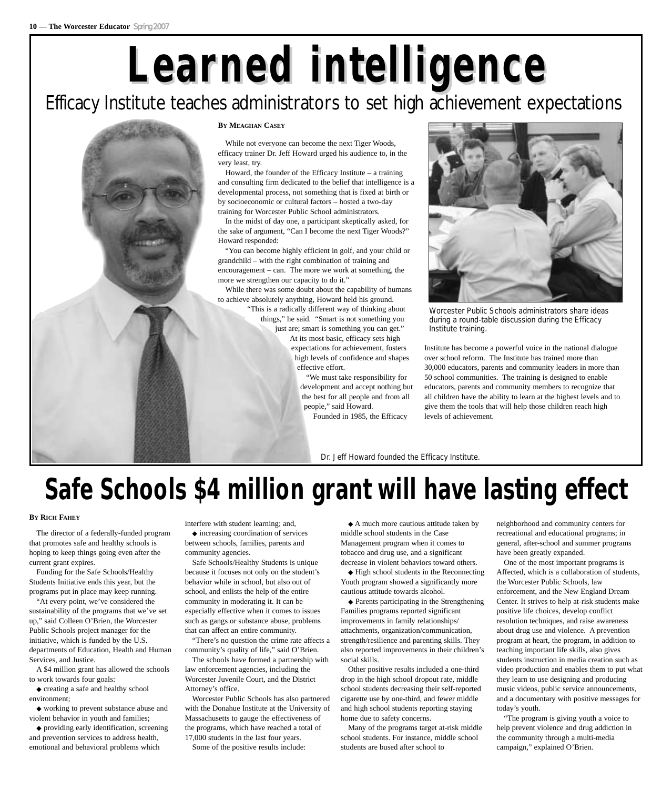# **Learned intelligence ned intelligence**

### Efficacy Institute teaches administrators to set high achievement expectations



While not everyone can become the next Tiger Woods, efficacy trainer Dr. Jeff Howard urged his audience to, in the very least, try.

Howard, the founder of the Efficacy Institute  $-$  a training and consulting firm dedicated to the belief that intelligence is a developmental process, not something that is fixed at birth or by socioeconomic or cultural factors – hosted a two-day training for Worcester Public School administrators.

In the midst of day one, a participant skeptically asked, for the sake of argument, "Can I become the next Tiger Woods?" Howard responded:

"You can become highly efficient in golf, and your child or grandchild – with the right combination of training and encouragement – can. The more we work at something, the more we strengthen our capacity to do it."

While there was some doubt about the capability of humans to achieve absolutely anything, Howard held his ground. "This is a radically different way of thinking about

things," he said. "Smart is not something you just are; smart is something you can get."

At its most basic, efficacy sets high expectations for achievement, fosters high levels of confidence and shapes effective effort.

"We must take responsibility for development and accept nothing but the best for all people and from all people," said Howard.

Founded in 1985, the Efficacy



Worcester Public Schools administrators share ideas during a round-table discussion during the Efficacy Institute training.

Institute has become a powerful voice in the national dialogue over school reform. The Institute has trained more than 30,000 educators, parents and community leaders in more than 50 school communities. The training is designed to enable educators, parents and community members to recognize that all children have the ability to learn at the highest levels and to give them the tools that will help those children reach high levels of achievement.

Dr. Jeff Howard founded the Efficacy Institute.

## **Safe Schools \$4 million grant will have lasting effect**

#### **BY RICH FAHEY**

The director of a federally-funded program that promotes safe and healthy schools is hoping to keep things going even after the current grant expires.

Funding for the Safe Schools/Healthy Students Initiative ends this year, but the programs put in place may keep running.

"At every point, we've considered the sustainability of the programs that we've set up," said Colleen O'Brien, the Worcester Public Schools project manager for the initiative, which is funded by the U.S. departments of Education, Health and Human Services, and Justice.

A \$4 million grant has allowed the schools to work towards four goals:

◆ creating a safe and healthy school environment;

◆ working to prevent substance abuse and violent behavior in youth and families;

◆ providing early identification, screening and prevention services to address health, emotional and behavioral problems which

interfere with student learning; and, ◆ increasing coordination of services between schools, families, parents and community agencies.

Safe Schools/Healthy Students is unique because it focuses not only on the student's behavior while in school, but also out of school, and enlists the help of the entire community in moderating it. It can be especially effective when it comes to issues such as gangs or substance abuse, problems that can affect an entire community.

"There's no question the crime rate affects a community's quality of life," said O'Brien.

The schools have formed a partnership with law enforcement agencies, including the Worcester Juvenile Court, and the District Attorney's office.

Worcester Public Schools has also partnered with the Donahue Institute at the University of Massachusetts to gauge the effectiveness of the programs, which have reached a total of 17,000 students in the last four years.

Some of the positive results include:

◆ A much more cautious attitude taken by middle school students in the Case Management program when it comes to tobacco and drug use, and a significant decrease in violent behaviors toward others.

◆ High school students in the Reconnecting Youth program showed a significantly more cautious attitude towards alcohol.

◆ Parents participating in the Strengthening Families programs reported significant improvements in family relationships/ attachments, organization/communication, strength/resilience and parenting skills. They also reported improvements in their children's social skills.

Other positive results included a one-third drop in the high school dropout rate, middle school students decreasing their self-reported cigarette use by one-third, and fewer middle and high school students reporting staying home due to safety concerns.

Many of the programs target at-risk middle school students. For instance, middle school students are bused after school to

neighborhood and community centers for recreational and educational programs; in general, after-school and summer programs have been greatly expanded.

One of the most important programs is Affected, which is a collaboration of students, the Worcester Public Schools, law enforcement, and the New England Dream Center. It strives to help at-risk students make positive life choices, develop conflict resolution techniques, and raise awareness about drug use and violence. A prevention program at heart, the program, in addition to teaching important life skills, also gives students instruction in media creation such as video production and enables them to put what they learn to use designing and producing music videos, public service announcements, and a documentary with positive messages for today's youth.

"The program is giving youth a voice to help prevent violence and drug addiction in the community through a multi-media campaign," explained O'Brien.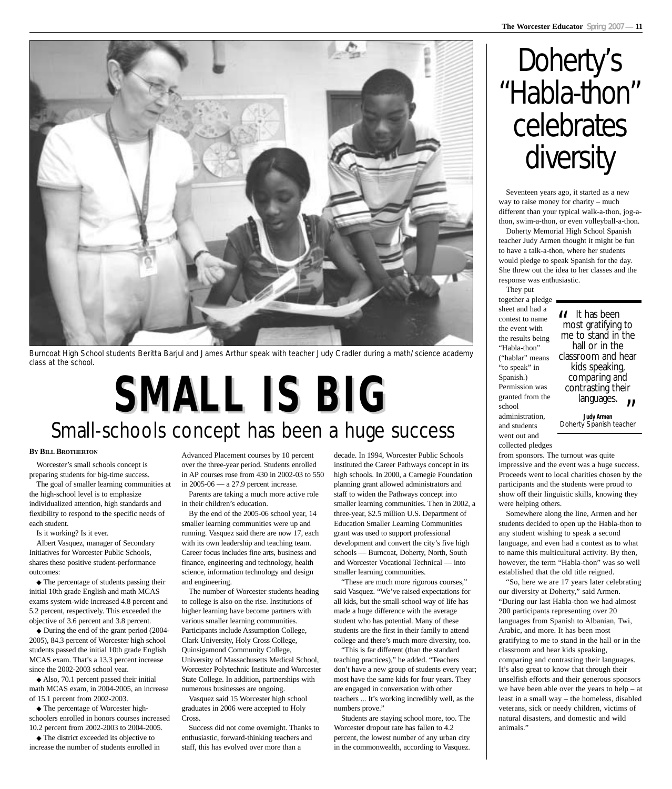

Burncoat High School students Beritta Barjul and James Arthur speak with teacher Judy Cradler during a math/science academy class at the school.

# **SMALL IS BIG SMALL IS BIG**

## Small-schools concept has been a huge success

#### **BY BILL BROTHERTON**

Worcester's small schools concept is preparing students for big-time success.

The goal of smaller learning communities at the high-school level is to emphasize individualized attention, high standards and flexibility to respond to the specific needs of each student.

Is it working? Is it ever.

Albert Vasquez, manager of Secondary Initiatives for Worcester Public Schools, shares these positive student-performance outcomes:

◆ The percentage of students passing their initial 10th grade English and math MCAS exams system-wide increased 4.8 percent and 5.2 percent, respectively. This exceeded the objective of 3.6 percent and 3.8 percent.

◆ During the end of the grant period (2004- 2005), 84.3 percent of Worcester high school students passed the initial 10th grade English MCAS exam. That's a 13.3 percent increase since the 2002-2003 school year.

◆ Also, 70.1 percent passed their initial math MCAS exam, in 2004-2005, an increase of 15.1 percent from 2002-2003.

◆ The percentage of Worcester highschoolers enrolled in honors courses increased 10.2 percent from 2002-2003 to 2004-2005.

◆ The district exceeded its objective to increase the number of students enrolled in

Advanced Placement courses by 10 percent over the three-year period. Students enrolled in AP courses rose from 430 in 2002-03 to 550 in 2005-06 — a 27.9 percent increase.

Parents are taking a much more active role in their children's education.

By the end of the 2005-06 school year, 14 smaller learning communities were up and running. Vasquez said there are now 17, each with its own leadership and teaching team. Career focus includes fine arts, business and finance, engineering and technology, health science, information technology and design and engineering.

The number of Worcester students heading to college is also on the rise. Institutions of higher learning have become partners with various smaller learning communities. Participants include Assumption College, Clark University, Holy Cross College, Quinsigamond Community College, University of Massachusetts Medical School, Worcester Polytechnic Institute and Worcester State College. In addition, partnerships with numerous businesses are ongoing.

Vasquez said 15 Worcester high school graduates in 2006 were accepted to Holy Cross.

Success did not come overnight. Thanks to enthusiastic, forward-thinking teachers and staff, this has evolved over more than a

decade. In 1994, Worcester Public Schools instituted the Career Pathways concept in its high schools. In 2000, a Carnegie Foundation planning grant allowed administrators and staff to widen the Pathways concept into smaller learning communities. Then in 2002, a three-year, \$2.5 million U.S. Department of Education Smaller Learning Communities grant was used to support professional development and convert the city's five high schools — Burncoat, Doherty, North, South and Worcester Vocational Technical — into smaller learning communities.

"These are much more rigorous courses," said Vasquez. "We've raised expectations for all kids, but the small-school way of life has made a huge difference with the average student who has potential. Many of these students are the first in their family to attend college and there's much more diversity, too.

"This is far different (than the standard teaching practices)," he added. "Teachers don't have a new group of students every year; most have the same kids for four years. They are engaged in conversation with other teachers ... It's working incredibly well, as the numbers prove."

Students are staying school more, too. The Worcester dropout rate has fallen to 4.2 percent, the lowest number of any urban city in the commonwealth, according to Vasquez.

## Doherty's "Habla-thon" celebrates diversity

Seventeen years ago, it started as a new way to raise money for charity – much different than your typical walk-a-thon, jog-athon, swim-a-thon, or even volleyball-a-thon.

Doherty Memorial High School Spanish teacher Judy Armen thought it might be fun to have a talk-a-thon, where her students would pledge to speak Spanish for the day. She threw out the idea to her classes and the response was enthusiastic.

They put

together a pledge sheet and had a contest to name the event with the results being "Habla-thon" ("hablar" means "to speak" in Spanish.) Permission was granted from the school administration,

and students went out and

It has been<br>most gratifying<br>me to stand in most gratifying to me to stand in the hall or in the classroom and hear kids speaking, comparing and contrasting their languages.

**Inguages.**<br>**Judy Armen<br><sup>/ Spanish teacher**</sup>

collected pledges from sponsors. The turnout was quite impressive and the event was a huge success. Proceeds went to local charities chosen by the participants and the students were proud to show off their linguistic skills, knowing they were helping others.

Somewhere along the line, Armen and her students decided to open up the Habla-thon to any student wishing to speak a second language, and even had a contest as to what to name this multicultural activity. By then, however, the term "Habla-thon" was so well established that the old title reigned.

"So, here we are 17 years later celebrating our diversity at Doherty," said Armen. "During our last Habla-thon we had almost 200 participants representing over 20 languages from Spanish to Albanian, Twi, Arabic, and more. It has been most gratifying to me to stand in the hall or in the classroom and hear kids speaking, comparing and contrasting their languages. It's also great to know that through their unselfish efforts and their generous sponsors we have been able over the years to help – at least in a small way – the homeless, disabled veterans, sick or needy children, victims of natural disasters, and domestic and wild animals."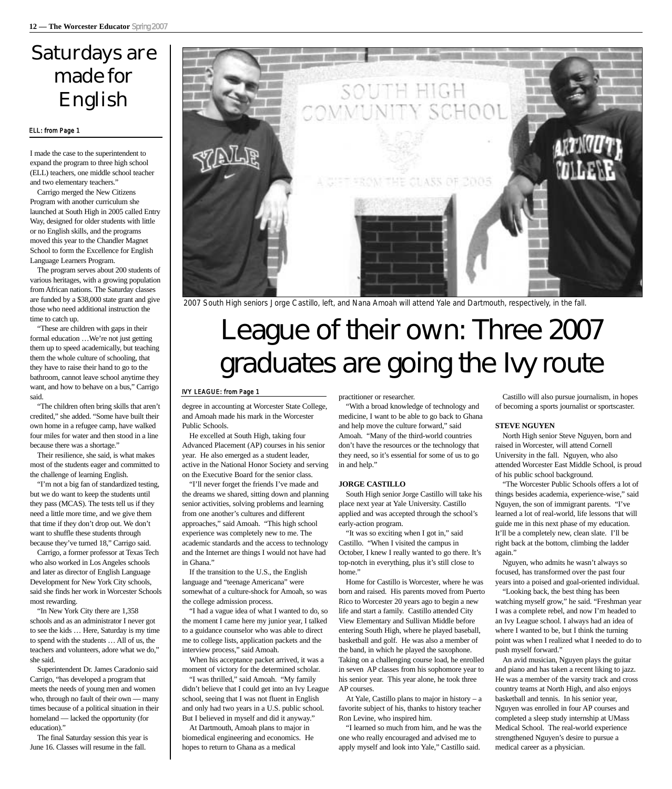### Saturdays are made for English

#### ELL: from Page 1

I made the case to the superintendent to expand the program to three high school (ELL) teachers, one middle school teacher and two elementary teachers."

Carrigo merged the New Citizens Program with another curriculum she launched at South High in 2005 called Entry Way, designed for older students with little or no English skills, and the programs moved this year to the Chandler Magnet School to form the Excellence for English Language Learners Program.

The program serves about 200 students of various heritages, with a growing population from African nations. The Saturday classes are funded by a \$38,000 state grant and give those who need additional instruction the time to catch up.

"These are children with gaps in their formal education …We're not just getting them up to speed academically, but teaching them the whole culture of schooling, that they have to raise their hand to go to the bathroom, cannot leave school anytime they want, and how to behave on a bus," Carrigo said.

"The children often bring skills that aren't credited," she added. "Some have built their own home in a refugee camp, have walked four miles for water and then stood in a line because there was a shortage."

Their resilience, she said, is what makes most of the students eager and committed to the challenge of learning English.

"I'm not a big fan of standardized testing, but we do want to keep the students until they pass (MCAS). The tests tell us if they need a little more time, and we give them that time if they don't drop out. We don't want to shuffle these students through because they've turned 18," Carrigo said.

Carrigo, a former professor at Texas Tech who also worked in Los Angeles schools and later as director of English Language Development for New York City schools, said she finds her work in Worcester Schools most rewarding.

"In New York City there are 1,358 schools and as an administrator I never got to see the kids … Here, Saturday is my time to spend with the students … All of us, the teachers and volunteers, adore what we do," she said.

Superintendent Dr. James Caradonio said Carrigo, "has developed a program that meets the needs of young men and women who, through no fault of their own — many times because of a political situation in their homeland — lacked the opportunity (for education)."

The final Saturday session this year is June 16. Classes will resume in the fall.



2007 South High seniors Jorge Castillo, left, and Nana Amoah will attend Yale and Dartmouth, respectively, in the fall.

## League of their own: Three 2007 graduates are going the Ivy route

#### IVY LEAGUE: from Page 1

degree in accounting at Worcester State College, and Amoah made his mark in the Worcester Public Schools.

He excelled at South High, taking four Advanced Placement (AP) courses in his senior year. He also emerged as a student leader, active in the National Honor Society and serving on the Executive Board for the senior class.

"I'll never forget the friends I've made and the dreams we shared, sitting down and planning senior activities, solving problems and learning from one another's cultures and different approaches," said Amoah. "This high school experience was completely new to me. The academic standards and the access to technology and the Internet are things I would not have had in Ghana."

If the transition to the U.S., the English language and "teenage Americana" were somewhat of a culture-shock for Amoah, so was the college admission process.

"I had a vague idea of what I wanted to do, so the moment I came here my junior year, I talked to a guidance counselor who was able to direct me to college lists, application packets and the interview process," said Amoah.

When his acceptance packet arrived, it was a moment of victory for the determined scholar.

"I was thrilled," said Amoah. "My family didn't believe that I could get into an Ivy League school, seeing that I was not fluent in English and only had two years in a U.S. public school. But I believed in myself and did it anyway."

At Dartmouth, Amoah plans to major in biomedical engineering and economics. He hopes to return to Ghana as a medical

practitioner or researcher.

"With a broad knowledge of technology and medicine, I want to be able to go back to Ghana and help move the culture forward," said Amoah. "Many of the third-world countries don't have the resources or the technology that they need, so it's essential for some of us to go in and help."

#### **JORGE CASTILLO**

South High senior Jorge Castillo will take his place next year at Yale University. Castillo applied and was accepted through the school's early-action program.

"It was so exciting when I got in," said Castillo. "When I visited the campus in October, I knew I really wanted to go there. It's top-notch in everything, plus it's still close to home"

Home for Castillo is Worcester, where he was born and raised. His parents moved from Puerto Rico to Worcester 20 years ago to begin a new life and start a family. Castillo attended City View Elementary and Sullivan Middle before entering South High, where he played baseball, basketball and golf. He was also a member of the band, in which he played the saxophone. Taking on a challenging course load, he enrolled in seven AP classes from his sophomore year to his senior year. This year alone, he took three AP courses.

At Yale, Castillo plans to major in history – a favorite subject of his, thanks to history teacher Ron Levine, who inspired him.

"I learned so much from him, and he was the one who really encouraged and advised me to apply myself and look into Yale," Castillo said.

Castillo will also pursue journalism, in hopes of becoming a sports journalist or sportscaster.

#### **STEVE NGUYEN**

North High senior Steve Nguyen, born and raised in Worcester, will attend Cornell University in the fall. Nguyen, who also attended Worcester East Middle School, is proud of his public school background.

"The Worcester Public Schools offers a lot of things besides academia, experience-wise," said Nguyen, the son of immigrant parents. "I've learned a lot of real-world, life lessons that will guide me in this next phase of my education. It'll be a completely new, clean slate. I'll be right back at the bottom, climbing the ladder again."

Nguyen, who admits he wasn't always so focused, has transformed over the past four years into a poised and goal-oriented individual.

"Looking back, the best thing has been watching myself grow," he said. "Freshman year I was a complete rebel, and now I'm headed to an Ivy League school. I always had an idea of where I wanted to be, but I think the turning point was when I realized what I needed to do to push myself forward."

An avid musician, Nguyen plays the guitar and piano and has taken a recent liking to jazz. He was a member of the varsity track and cross country teams at North High, and also enjoys basketball and tennis. In his senior year, Nguyen was enrolled in four AP courses and completed a sleep study internship at UMass Medical School. The real-world experience strengthened Nguyen's desire to pursue a medical career as a physician.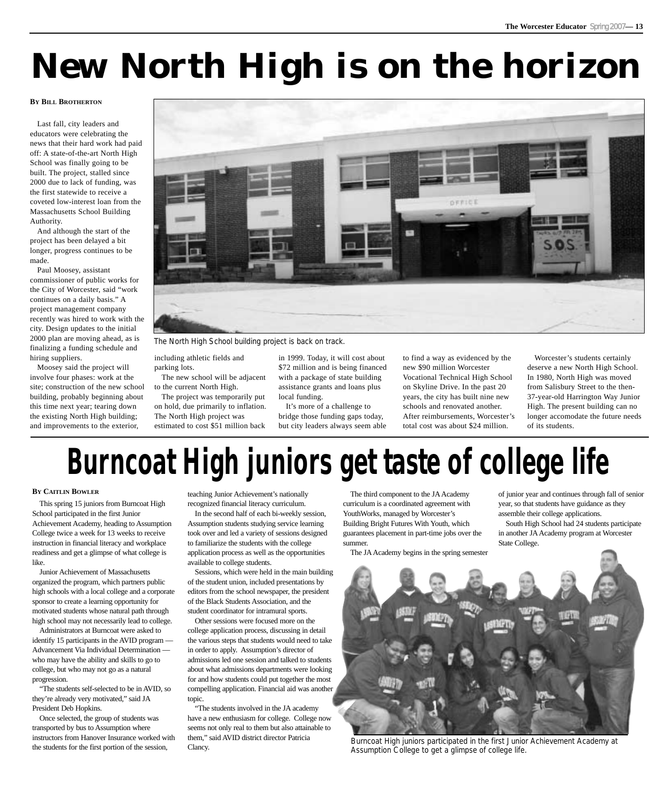## **New North High is on the horizon**

#### **BY BILL BROTHERTON**

Last fall, city leaders and educators were celebrating the news that their hard work had paid off: A state-of-the-art North High School was finally going to be built. The project, stalled since 2000 due to lack of funding, was the first statewide to receive a coveted low-interest loan from the Massachusetts School Building Authority.

And although the start of the project has been delayed a bit longer, progress continues to be made.

Paul Moosey, assistant commissioner of public works for the City of Worcester, said "work continues on a daily basis." A project management company recently was hired to work with the city. Design updates to the initial 2000 plan are moving ahead, as is finalizing a funding schedule and hiring suppliers.

Moosey said the project will involve four phases: work at the site; construction of the new school building, probably beginning about this time next year; tearing down the existing North High building; and improvements to the exterior,



The North High School building project is back on track.

including athletic fields and parking lots.

The new school will be adjacent to the current North High.

The project was temporarily put on hold, due primarily to inflation. The North High project was estimated to cost \$51 million back

in 1999. Today, it will cost about \$72 million and is being financed with a package of state building assistance grants and loans plus local funding.

It's more of a challenge to bridge those funding gaps today, but city leaders always seem able to find a way as evidenced by the new \$90 million Worcester Vocational Technical High School on Skyline Drive. In the past 20 years, the city has built nine new schools and renovated another. After reimbursements, Worcester's total cost was about \$24 million.

Worcester's students certainly deserve a new North High School. In 1980, North High was moved from Salisbury Street to the then-37-year-old Harrington Way Junior High. The present building can no longer accomodate the future needs of its students.

# **Burncoat High juniors get taste of college life**

#### **BY CAITLIN BOWLER**

This spring 15 juniors from Burncoat High School participated in the first Junior Achievement Academy, heading to Assumption College twice a week for 13 weeks to receive instruction in financial literacy and workplace readiness and get a glimpse of what college is like.

Junior Achievement of Massachusetts organized the program, which partners public high schools with a local college and a corporate sponsor to create a learning opportunity for motivated students whose natural path through high school may not necessarily lead to college.

Administrators at Burncoat were asked to identify 15 participants in the AVID program — Advancement Via Individual Determination who may have the ability and skills to go to college, but who may not go as a natural progression.

"The students self-selected to be in AVID, so they're already very motivated," said JA President Deb Hopkins.

Once selected, the group of students was transported by bus to Assumption where instructors from Hanover Insurance worked with the students for the first portion of the session,

teaching Junior Achievement's nationally recognized financial literacy curriculum.

In the second half of each bi-weekly session, Assumption students studying service learning took over and led a variety of sessions designed to familiarize the students with the college application process as well as the opportunities available to college students.

Sessions, which were held in the main building of the student union, included presentations by editors from the school newspaper, the president of the Black Students Association, and the student coordinator for intramural sports.

Other sessions were focused more on the college application process, discussing in detail the various steps that students would need to take in order to apply. Assumption's director of admissions led one session and talked to students about what admissions departments were looking for and how students could put together the most compelling application. Financial aid was another topic.

"The students involved in the JA academy have a new enthusiasm for college. College now seems not only real to them but also attainable to them," said AVID district director Patricia Clancy.

The third component to the JA Academy curriculum is a coordinated agreement with YouthWorks, managed by Worcester's Building Bright Futures With Youth, which guarantees placement in part-time jobs over the summer.

The JA Academy begins in the spring semester

of junior year and continues through fall of senior year, so that students have guidance as they assemble their college applications.

South High School had 24 students participate in another JA Academy program at Worcester State College.



Burncoat High juniors participated in the first Junior Achievement Academy at Assumption College to get a glimpse of college life.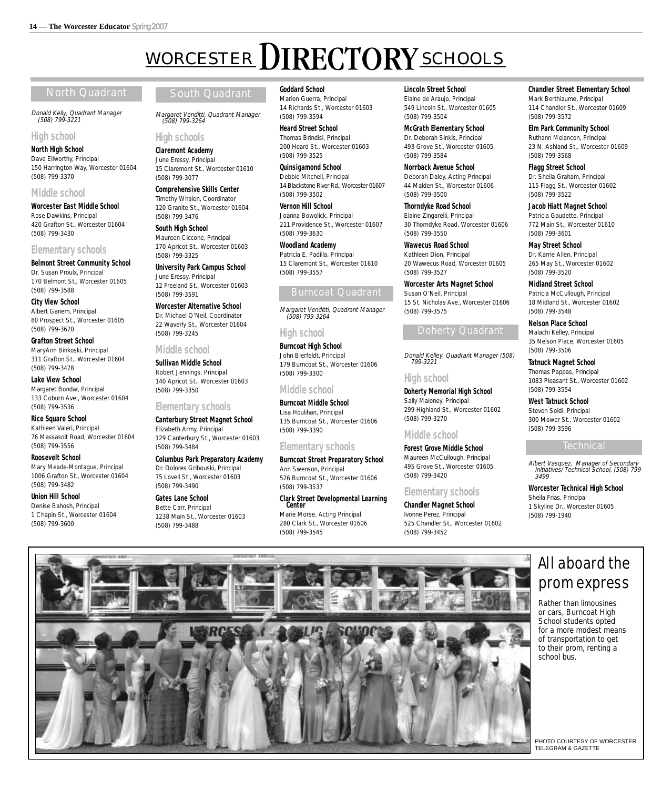(508) 799-3264

15 Claremont St., Worcester 01610

**Comprehensive Skills Center** Timothy Whalen, Coordinator 120 Granite St., Worcester 01604

**University Park Campus School**

12 Freeland St., Worcester 01603

**Worcester Alternative School**  Dr. Michael O'Neil, Coordinator 22 Waverly St., Worcester 01604

**High schools Claremont Academy** June Eressy, Principal

(508) 799-3077

(508) 799-3476 **South High School** Maureen Ciccone, Principal 170 Apricot St., Worcester 01603

(508) 799-3325

(508) 799-3591

(508) 799-3245

(508) 799-3350

(508) 799-3484

(508) 799-3490 **Gates Lane School** Bette Carr, Principal

(508) 799-3488

**Elementary schools**

Elizabeth Army, Principal

**Canterbury Street Magnet School**

129 Canterbury St., Worcester 01603

**Columbus Park Preparatory Academy** Dr. Dolores Gribouski, Principal 75 Lovell St., Worcester 01603

1238 Main St., Worcester 01603

**Middle school Sullivan Middle School** Robert Jennings, Principal 140 Apricot St., Worcester 01603

June Eressy, Principal

## WORCESTER DIRECTORY SCHOOLS

#### North Quadrant **South Quadrant**

Donald Kelly, Quadrant Manager (508) 799-3221

#### **High school**

**North High School** Dave Ellworthy, Principal 150 Harrington Way, Worcester 01604 (508) 799-3370

#### **Middle school**

**Worcester East Middle School** Rose Dawkins, Principal 420 Grafton St., Worcester 01604 (508) 799-3430

#### **Elementary schools**

**Belmont Street Community School** Dr. Susan Proulx, Principal 170 Belmont St., Worcester 01605 (508) 799-3588

**City View School** Albert Ganem, Principal 80 Prospect St., Worcester 01605 (508) 799-3670

**Grafton Street School** MaryAnn Binkoski, Principal 311 Grafton St., Worcester 01604 (508) 799-3478

**Lake View School** Margaret Bondar, Principal 133 Coburn Ave., Worcester 01604 (508) 799-3536

**Rice Square School** Kathleen Valeri, Principal 76 Massasoit Road, Worcester 01604 (508) 799-3556

**Roosevelt School** Mary Meade-Montague, Principal 1006 Grafton St., Worcester 01604 (508) 799-3482

**Union Hill School** Denise Bahosh, Principal 1 Chapin St., Worcester 01604 (508) 799-3600

#### **Goddard School**

Margaret Venditti, Quadrant Manager Marion Guerra, Principal 14 Richards St., Worcester 01603 (508) 799-3594

> **Heard Street School** Thomas Brindisi, Principal 200 Heard St., Worcester 01603 (508) 799-3525

**Quinsigamond School** Debbie Mitchell, Principal 14 Blackstone River Rd., Worcester 01607 (508) 799-3502

**Vernon Hill School** Joanna Bowolick, Principal 211 Providence St., Worcester 01607 (508) 799-3630

**Woodland Academy** Patricia E. Padilla, Principal 15 Claremont St., Worcester 01610 (508) 799-3557

#### Burncoat Quadrant

Margaret Venditti, Quadrant Manager (508) 799-3264

#### **High school**

**Burncoat High School** John Bierfeldt, Principal 179 Burncoat St., Worcester 01606 (508) 799-3300

#### **Middle school**

**Burncoat Middle School** Lisa Houlihan, Principal 135 Burncoat St., Worcester 01606 (508) 799-3390

#### **Elementary schools**

**Burncoat Street Preparatory School** Ann Swenson, Principal 526 Burncoat St., Worcester 01606 (508) 799-3537

**Clark Street Developmental Learning** 

Marie Morse, Acting Principal 280 Clark St., Worcester 01606 (508) 799-3545

**Lincoln Street School** Elaine de Araujo, Principal

549 Lincoln St., Worcester 01605 (508) 799-3504

**McGrath Elementary School** Dr. Deborah Sinkis, Principal 493 Grove St., Worcester 01605 (508) 799-3584

**Norrback Avenue School** Deborah Daley, Acting Principal 44 Malden St., Worcester 01606 (508) 799-3500

**Thorndyke Road School** Elaine Zingarelli, Principal 30 Thorndyke Road, Worcester 01606 (508) 799-3550

**Wawecus Road School** Kathleen Dion, Principal 20 Wawecus Road, Worcester 01605 (508) 799-3527

**Worcester Arts Magnet School** Susan O'Neil, Principal 15 St. Nicholas Ave., Worcester 01606 (508) 799-3575

#### Doherty Quadrant

Donald Kelley, Quadrant Manager (508) 799-3221

#### **High school**

**Doherty Memorial High School** Sally Maloney, Principal 299 Highland St., Worcester 01602 (508) 799-3270

#### **Middle school**

**Forest Grove Middle School** Maureen McCullough, Principal 495 Grove St., Worcester 01605 (508) 799-3420

#### **Elementary schools**

**Chandler Magnet School** Ivonne Perez, Principal 525 Chandler St., Worcester 01602 (508) 799-3452

#### **Chandler Street Elementary School**

Mark Berthiaume, Principal 114 Chandler St., Worcester 01609 (508) 799-3572

**Elm Park Community School** Ruthann Melancon, Principal 23 N. Ashland St., Worcester 01609 (508) 799-3568

**Flagg Street School** Dr. Sheila Graham, Principal 115 Flagg St., Worcester 01602 (508) 799-3522

**Jacob Hiatt Magnet School** Patricia Gaudette, Principal 772 Main St., Worcester 01610 (508) 799-3601

**May Street School** Dr. Karrie Allen, Principal 265 May St., Worcester 01602 (508) 799-3520

**Midland Street School** Patricia McCullough, Principal 18 Midland St., Worcester 01602 (508) 799-3548

**Nelson Place School** Malachi Kelley, Principal 35 Nelson Place, Worcester 01605 (508) 799-3506

**Tatnuck Magnet School** Thomas Pappas, Principal 1083 Pleasant St., Worcester 01602 (508) 799-3554

**West Tatnuck School** Steven Soldi, Principal 300 Mower St., Worcester 01602 (508) 799-3596

#### **Technical**

Albert Vasquez, Manager of Secondary Initiatives/Technical School, (508) 799- 3499

**Worcester Technical High School** Sheila Frias, Principal 1 Skyline Dr., Worcester 01605 (508) 799-1940

#### All aboard the prom express

Rather than limousines or cars, Burncoat High School students opted for a more modest means of transportation to get to their prom, renting a school bus.

PHOTO COURTESY OF WORCESTER TELEGRAM & GAZETTE

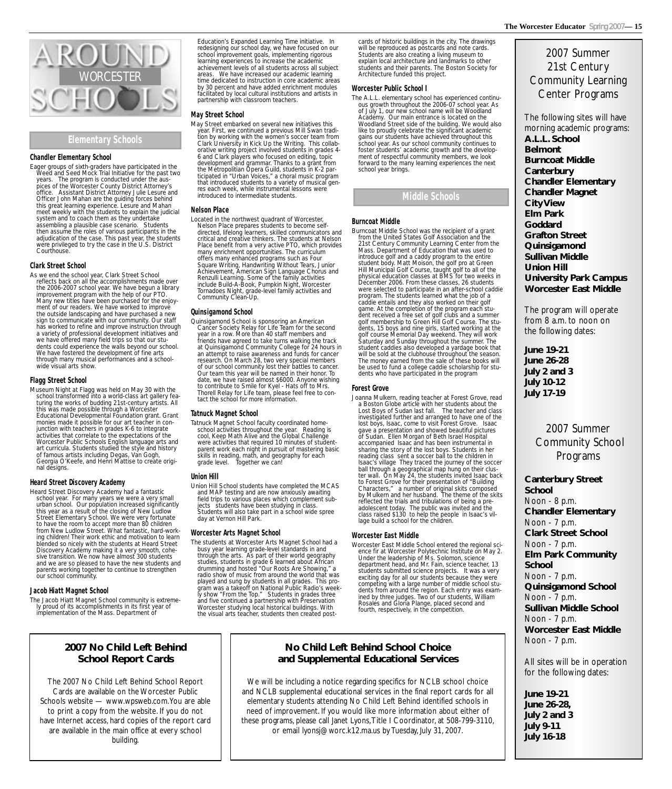#### **Elementary Schools**

#### **Chandler Elementary School**

Eager groups of sixth-graders have participated in the Weed and Seed Mock Trial Initiative for the past two years. The program is conducted under the auspices of the Worcester County District Attorney's office. Assistant District Attorney Julie Lesure and Officer John Mahan are the guiding forces behind this great learning experience. Lesure and Mahan meet weekly with the students to explain the judicial system and to coach them as they undertake assembling a plausible case scenario. Students then assume the roles of various participants in the adjudication of the case. This past year, the students were privileged to try the case in the U.S. District Courthouse.

#### **Clark Street School**

As we end the school year, Clark Street School reflects back on all the accomplishments made over the 2006-2007 school year. We have begun a library improvement program with the help of our PTO. Many new titles have been purchased for the enjoyment of our readers. We have worked to improve the outside landscaping and have purchased a new sign to communicate with our community. Our staff has worked to refine and improve instruction through a variety of professional development initiatives and we have offered many field trips so that our students could experience the walls beyond our school. We have fostered the development of fine arts through many musical performances and a schoolwide visual arts show.

#### **Flagg Street School**

Museum Night at Flagg was held on May 30 with the school transformed into a world-class art gallery featuring the works of budding 21st-century artists. All this was made possible through a Worcester Educational Developmental Foundation grant. Grant monies made it possible for our art teacher in conjunction with teachers in grades K-6 to integrate activities that correlate to the expectations of the Worcester Public Schools English language arts and art curricula. Students studied the style and history of famous artists including Degas, Van Gogh, Georgia O'Keefe, and Henri Mattise to create original designs.

#### **Heard Street Discovery Academy**

Heard Street Discovery Academy had a fantastic school year. For many years we were a very small urban school. Our population increased significantly this year as a result of the closing of New Ludlow Street Elementary School. We were very fortunate to have the room to accept more than 80 children from New Ludlow Street. What fantastic, hard-working children! Their work ethic and motivation to learn blended so nicely with the students at Heard Street Discovery Academy making it a very smooth, cohesive transition. We now have almost 300 students and we are so pleased to have the new students and parents working together to continue to strengthen our school community.

#### **Jacob Hiatt Magnet School**

The Jacob Hiatt Magnet School community is extremely proud of its accomplishments in its first year of implementation of the Mass. Department of

#### **2007 No Child Left Behind School Report Cards**

The 2007 No Child Left Behind School Report Cards are available on the Worcester Public Schools website — www.wpsweb.com.You are able to print a copy from the website. If you do not have Internet access, hard copies of the report card are available in the main office at every school building.

Education's Expanded Learning Time initiative. In redesigning our school day, we have focused on our school improvement goals, implementing rigorous learning experiences to increase the academic achievement levels of all students across all subject areas. We have increased our academic learning time dedicated to instruction in core academic areas by 30 percent and have added enrichment modules facilitated by local cultural institutions and artists in partnership with classroom teachers.

#### **May Street School**

May Street embarked on several new initiatives this year. First, we continued a previous Mill Swan tradition by working with the women's soccer team from Clark University in Kick Up the Writing. This collaborative writing project involved students in grades 4- 6 and Clark players who focused on editing, topic development and grammar. Thanks to a grant from the Metropolitian Opera Guild, students in K-2 participated in "Urban Voices," a choral music program that introduced students to a variety of musical genres each week, while instrumental lessons were introduced to intermediate students.

#### **Nelson Place**

Located in the northwest quadrant of Worcester, Nelson Place prepares students to become selfdirected, lifelong learners, skilled communicators and critical and creative thinkers. The students at Nelson Place benefit from a very active PTO, which provides many enrichment opportunities. The curriculum offers many enhanced programs such as Four Square Writing, Handwriting Without Tears, Junior Achievement, American Sign Language Chorus and Renzulli Learning. Some of the family activities include Build-A-Book, Pumpkin Night, Worcester Tornadoes Night, grade-level family activities and Community Clean-Up.

#### **Quinsigamond School**

Quinsigamond School is sponsoring an American Cancer Society Relay for Life Team for the second year in a row. More than 40 staff members and friends have agreed to take turns walking the track at Quinsigamond Community College for 24 hours in an attempt to raise awareness and funds for cancer research. On March 28, two very special members of our school community lost their battles to cancer. Our team this year will be named in their honor. To date, we have raised almost \$6000. Anyone wishing to contribute to Smile for Kyel - Hats off to Mrs. Thorell Relay for Life team, please feel free to contact the school for more information.

#### **Tatnuck Magnet School**

Tatnuck Magnet School faculty coordinated homeschool activities throughout the year. Reading is cool, Keep Math Alive and the Global Challenge were activities that required 10 minutes of studentparent work each night in pursuit of mastering basic skills in reading, math, and geography for each grade level. Together we can!

#### **Union Hill**

Union Hill School students have completed the MCAS and MAP testing and are now anxiously awaiting field trips to various places which complement subjects students have been studying in class. Students will also take part in a school wide spree day at Vernon Hill Park.

#### **Worcester Arts Magnet School**

The students at Worcester Arts Magnet School had a busy year learning grade-level standards in and through the arts. As part of their world geography studies, students in grade 6 learned about African drumming and hosted "Our Roots Are Showing," a radio show of music from around the world that was played and sung by students in all grades. This program was a takeoff on National Public Radio's weekly show "From the Top." Students in grades three and five continued a partnership with Preservation Worcester studying local historical buildings. With the visual arts teacher, students then created postcards of historic buildings in the city. The drawings will be reproduced as postcards and note cards. Students are also creating a living museum to explain local architecture and landmarks to other students and their parents. The Boston Society for Architecture funded this project.

#### **Worcester Public School I**

The A.L.L. elementary school has experienced continuous growth throughout the 2006-07 school year. As of July 1, our new school name will be Woodland Academy. Our main entrance is located on the Woodland Street side of the building. We would also like to proudly celebrate the significant academic gains our students have achieved throughout this school year. As our school community continues to foster students' academic growth and the development of respectful community members, we look forward to the many learning experiences the next school year brings.

#### **Middle Schools**

#### **Burncoat Middle**

Burncoat Middle School was the recipient of a grant from the United States Golf Association and the 21st Century Community Learning Center from the Mass. Department of Education that was used to introduce golf and a caddy program to the entire student body. Matt Moison, the golf pro at Green Hill Municipal Golf Course, taught golf to all of the physical education classes at BMS for two weeks in December 2006. From these classes, 26 students were selected to participate in an after-school caddie program. The students learned what the job of a caddie entails and they also worked on their golf game. At the completion of the program each student received a free set of golf clubs and a summer golf membership to Green Hill Golf Course. The students, 15 boys and nine girls, started working at the golf course Memorial Day weekend. They will work Saturday and Sunday throughout the summer. The student caddies also developed a yardage book that will be sold at the clubhouse throughout the season. The money earned from the sale of these books will be used to fund a college caddie scholarship for students who have participated in the program

#### **Forest Grove**

Joanna Mulkern, reading teacher at Forest Grove, read a Boston Globe article with her students about the Lost Boys of Sudan last fall. The teacher and class investigated further and arranged to have one of the lost boys, Isaac, come to visit Forest Grove. Isaac gave a presentation and showed beautiful pictures of Sudan. Ellen Morgan of Beth Israel Hospital accompanied Isaac and has been instrumental in sharing the story of the lost boys. Students in her reading class sent a soccer ball to the children in Isaac's village They traced the journey of the soccer ball through a geographical map hung on their cluster wall. On May 24, the students invited Isaac back to Forest Grove for their presentation of "Building Characters," a number of original skits composed by Mulkern and her husband. The theme of the skits reflected the trials and tribulations of being a preadolescent today. The public was invited and the class raised \$130 to help the people in Isaac's village build a school for the children.

#### **Worcester East Middle**

Worcester East Middle School entered the regional science fir at Worcester Polytechnic Institute on May 2. Under the leadership of Ms. Solomon, science department head, and Mr. Fain, science teacher, 13 students submitted science projects. It was a very exciting day for all our students because they were competing with a large number of middle school students from around the region. Each entry was examined by three judges. Two of our students, William Rosales and Gloria Plange, placed second and fourth, respectively, in the competition.

#### 2007 Summer 21st Century Community Learning Center Programs

The following sites will have morning academic programs: **A.L.L. School Belmont Burncoat Middle Canterbury Chandler Elementary Chandler Magnet City View Elm Park Goddard Grafton Street Quinsigamond Sullivan Middle Union Hill University Park Campus Worcester East Middle**

The program will operate from 8 a.m. to noon on the following dates:

**June 19-21 June 26-28 July 2 and 3 July 10-12 July 17-19**

#### 2007 Summer Community School Programs

**Canterbury Street**

**School** Noon - 8 p.m. **Chandler Elementary** Noon - 7 p.m. **Clark Street School** Noon - 7 p.m. **Elm Park Community School** Noon - 7 p.m. **Quinsigamond School** Noon - 7 p.m. **Sullivan Middle School** Noon - 7 p.m. **Worcester East Middle** Noon - 7 p.m.

All sites will be in operation for the following dates:

**June 19-21 June 26-28, July 2 and 3 July 9-11 July 16-18** 

#### **No Child Left Behind School Choice and Supplemental Educational Services**

We will be including a notice regarding specifics for NCLB school choice and NCLB supplemental educational services in the final report cards for all elementary students attending No Child Left Behind identified schools in need of improvement. If you would like more information about either of these programs, please call Janet Lyons, Title I Coordinator, at 508-799-3110, or email lyonsj@worc.k12.ma.us by Tuesday, July 31, 2007.